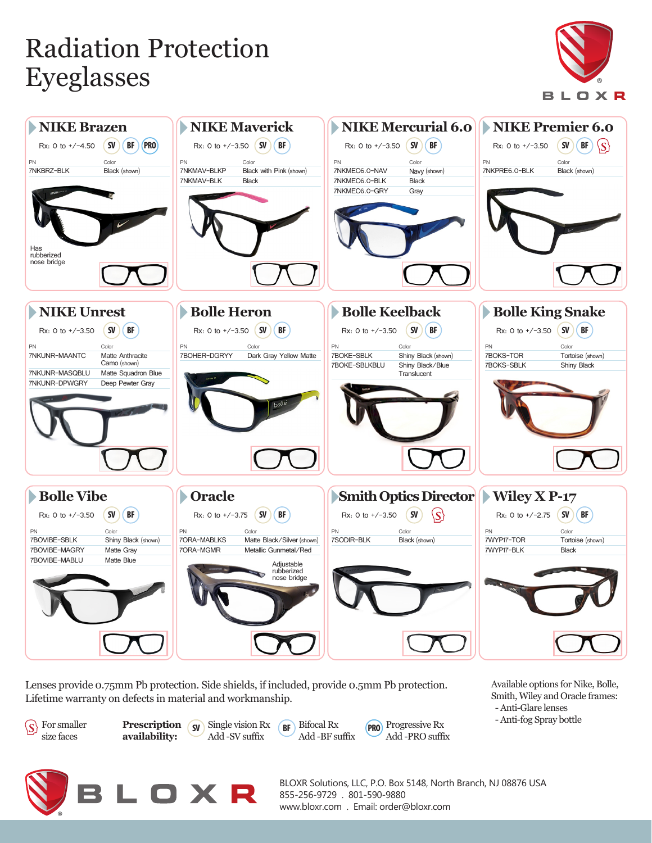## Radiation Protection Eyeglasses





Lenses provide 0.75mm Pb protection. Side shields, if included, provide 0.5mm Pb protection. Lifetime warranty on defects in material and workmanship.



**availability:**

**Prescription** (**sv**) Single vision Rx (**BF**) Bifocal Rx (**PRO** Add -SV suffix

Bifocal Rx Add -BF suffix

PRO Progressive Rx Add -PRO suffix Available options for Nike, Bolle, Smith, Wiley and Oracle frames: - Anti-Glare lenses - Anti-fog Spray bottle

LOXR

BLOXR Solutions, LLC, P.O. Box 5148, North Branch, NJ 08876 USA 855-256-9729 . 801-590-9880 www.bloxr.com . Email: order@bloxr.com